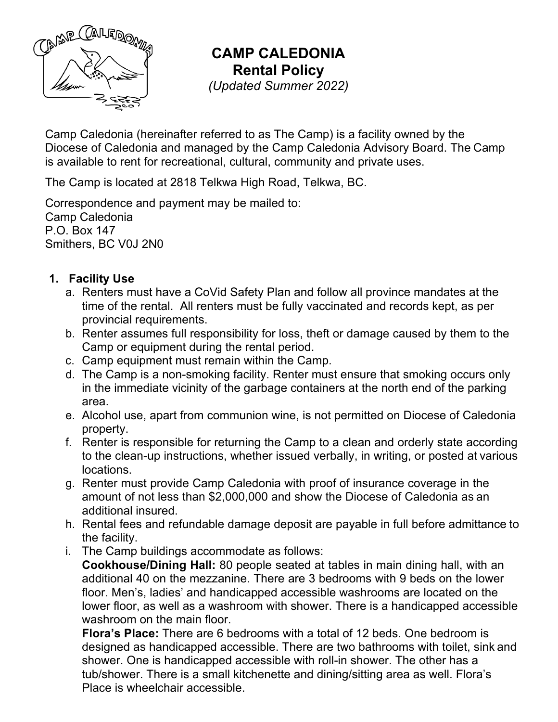

**CAMP CALEDONIA Rental Policy** *(Updated Summer 2022)*

Camp Caledonia (hereinafter referred to as The Camp) is a facility owned by the Diocese of Caledonia and managed by the Camp Caledonia Advisory Board. The Camp is available to rent for recreational, cultural, community and private uses.

The Camp is located at 2818 Telkwa High Road, Telkwa, BC.

Correspondence and payment may be mailed to: Camp Caledonia P.O. Box 147 Smithers, BC V0J 2N0

#### **1. Facility Use**

- a. Renters must have a CoVid Safety Plan and follow all province mandates at the time of the rental. All renters must be fully vaccinated and records kept, as per provincial requirements.
- b. Renter assumes full responsibility for loss, theft or damage caused by them to the Camp or equipment during the rental period.
- c. Camp equipment must remain within the Camp.
- d. The Camp is a non-smoking facility. Renter must ensure that smoking occurs only in the immediate vicinity of the garbage containers at the north end of the parking area.
- e. Alcohol use, apart from communion wine, is not permitted on Diocese of Caledonia property.
- f. Renter is responsible for returning the Camp to a clean and orderly state according to the clean-up instructions, whether issued verbally, in writing, or posted at various locations.
- g. Renter must provide Camp Caledonia with proof of insurance coverage in the amount of not less than \$2,000,000 and show the Diocese of Caledonia as an additional insured.
- h. Rental fees and refundable damage deposit are payable in full before admittance to the facility.
- i. The Camp buildings accommodate as follows:

**Cookhouse/Dining Hall:** 80 people seated at tables in main dining hall, with an additional 40 on the mezzanine. There are 3 bedrooms with 9 beds on the lower floor. Men's, ladies' and handicapped accessible washrooms are located on the lower floor, as well as a washroom with shower. There is a handicapped accessible washroom on the main floor.

**Flora's Place:** There are 6 bedrooms with a total of 12 beds. One bedroom is designed as handicapped accessible. There are two bathrooms with toilet, sink and shower. One is handicapped accessible with roll-in shower. The other has a tub/shower. There is a small kitchenette and dining/sitting area as well. Flora's Place is wheelchair accessible.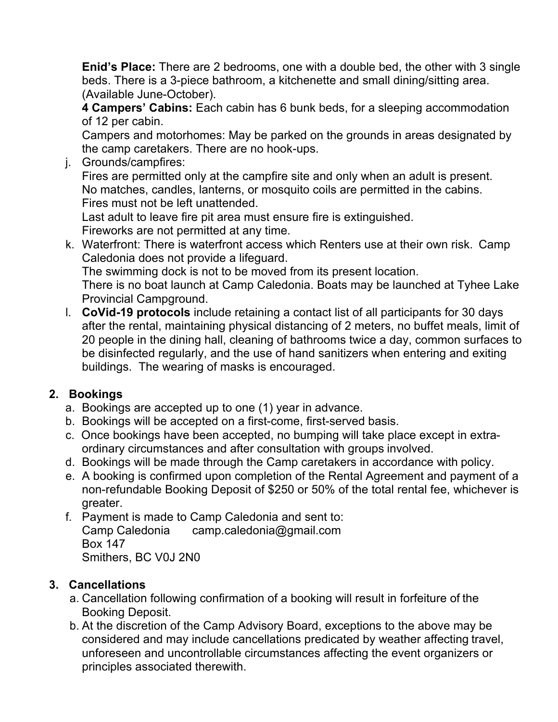**Enid's Place:** There are 2 bedrooms, one with a double bed, the other with 3 single beds. There is a 3-piece bathroom, a kitchenette and small dining/sitting area. (Available June-October).

**4 Campers' Cabins:** Each cabin has 6 bunk beds, for a sleeping accommodation of 12 per cabin.

Campers and motorhomes: May be parked on the grounds in areas designated by the camp caretakers. There are no hook-ups.

j. Grounds/campfires:

Fires are permitted only at the campfire site and only when an adult is present. No matches, candles, lanterns, or mosquito coils are permitted in the cabins. Fires must not be left unattended.

Last adult to leave fire pit area must ensure fire is extinguished. Fireworks are not permitted at any time.

k. Waterfront: There is waterfront access which Renters use at their own risk. Camp Caledonia does not provide a lifeguard. The swimming dock is not to be moved from its present location.

There is no boat launch at Camp Caledonia. Boats may be launched at Tyhee Lake Provincial Campground.

l. **CoVid-19 protocols** include retaining a contact list of all participants for 30 days after the rental, maintaining physical distancing of 2 meters, no buffet meals, limit of 20 people in the dining hall, cleaning of bathrooms twice a day, common surfaces to be disinfected regularly, and the use of hand sanitizers when entering and exiting buildings. The wearing of masks is encouraged.

# **2. Bookings**

- a. Bookings are accepted up to one (1) year in advance.
- b. Bookings will be accepted on a first-come, first-served basis.
- c. Once bookings have been accepted, no bumping will take place except in extraordinary circumstances and after consultation with groups involved.
- d. Bookings will be made through the Camp caretakers in accordance with policy.
- e. A booking is confirmed upon completion of the Rental Agreement and payment of a non-refundable Booking Deposit of \$250 or 50% of the total rental fee, whichever is greater.
- f. Payment is made to Camp Caledonia and sent to: Camp Caledonia camp.caledonia@gmail.com Box 147 Smithers, BC V0J 2N0

# **3. Cancellations**

- a. Cancellation following confirmation of a booking will result in forfeiture of the Booking Deposit.
- b. At the discretion of the Camp Advisory Board, exceptions to the above may be considered and may include cancellations predicated by weather affecting travel, unforeseen and uncontrollable circumstances affecting the event organizers or principles associated therewith.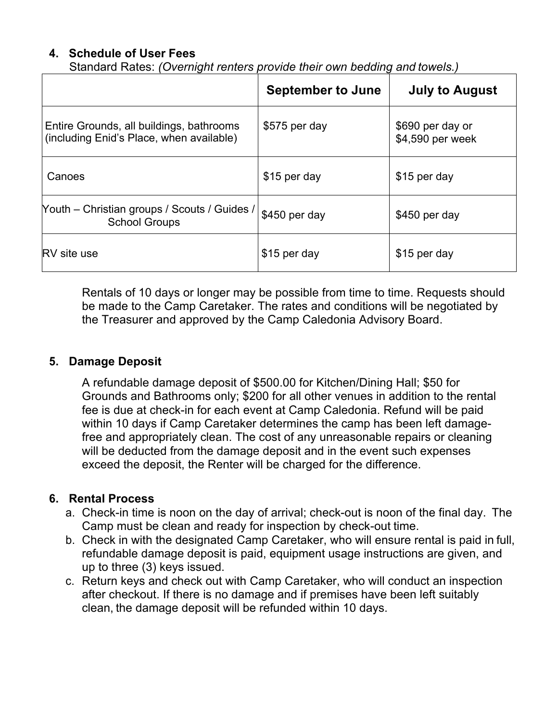### **4. Schedule of User Fees**

Standard Rates: *(Overnight renters provide their own bedding and towels.)*

|                                                                                      | <b>September to June</b> | <b>July to August</b>                |
|--------------------------------------------------------------------------------------|--------------------------|--------------------------------------|
| Entire Grounds, all buildings, bathrooms<br>(including Enid's Place, when available) | \$575 per day            | \$690 per day or<br>\$4,590 per week |
| Canoes                                                                               | \$15 per day             | \$15 per day                         |
| Youth – Christian groups / Scouts / Guides /<br><b>School Groups</b>                 | \$450 per day            | \$450 per day                        |
| <b>RV</b> site use                                                                   | \$15 per day             | \$15 per day                         |

Rentals of 10 days or longer may be possible from time to time. Requests should be made to the Camp Caretaker. The rates and conditions will be negotiated by the Treasurer and approved by the Camp Caledonia Advisory Board.

#### **5. Damage Deposit**

A refundable damage deposit of \$500.00 for Kitchen/Dining Hall; \$50 for Grounds and Bathrooms only; \$200 for all other venues in addition to the rental fee is due at check-in for each event at Camp Caledonia. Refund will be paid within 10 days if Camp Caretaker determines the camp has been left damagefree and appropriately clean. The cost of any unreasonable repairs or cleaning will be deducted from the damage deposit and in the event such expenses exceed the deposit, the Renter will be charged for the difference.

#### **6. Rental Process**

- a. Check-in time is noon on the day of arrival; check-out is noon of the final day. The Camp must be clean and ready for inspection by check-out time.
- b. Check in with the designated Camp Caretaker, who will ensure rental is paid in full, refundable damage deposit is paid, equipment usage instructions are given, and up to three (3) keys issued.
- c. Return keys and check out with Camp Caretaker, who will conduct an inspection after checkout. If there is no damage and if premises have been left suitably clean, the damage deposit will be refunded within 10 days.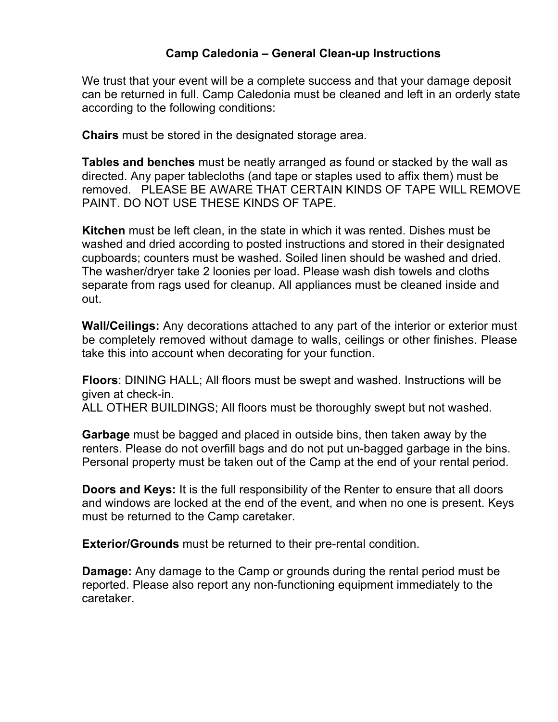#### **Camp Caledonia – General Clean-up Instructions**

We trust that your event will be a complete success and that your damage deposit can be returned in full. Camp Caledonia must be cleaned and left in an orderly state according to the following conditions:

**Chairs** must be stored in the designated storage area.

**Tables and benches** must be neatly arranged as found or stacked by the wall as directed. Any paper tablecloths (and tape or staples used to affix them) must be removed. PLEASE BE AWARE THAT CERTAIN KINDS OF TAPE WILL REMOVE PAINT. DO NOT USE THESE KINDS OF TAPE.

**Kitchen** must be left clean, in the state in which it was rented. Dishes must be washed and dried according to posted instructions and stored in their designated cupboards; counters must be washed. Soiled linen should be washed and dried. The washer/dryer take 2 loonies per load. Please wash dish towels and cloths separate from rags used for cleanup. All appliances must be cleaned inside and out.

**Wall/Ceilings:** Any decorations attached to any part of the interior or exterior must be completely removed without damage to walls, ceilings or other finishes. Please take this into account when decorating for your function.

**Floors**: DINING HALL; All floors must be swept and washed. Instructions will be given at check-in.

ALL OTHER BUILDINGS; All floors must be thoroughly swept but not washed.

**Garbage** must be bagged and placed in outside bins, then taken away by the renters. Please do not overfill bags and do not put un-bagged garbage in the bins. Personal property must be taken out of the Camp at the end of your rental period.

**Doors and Keys:** It is the full responsibility of the Renter to ensure that all doors and windows are locked at the end of the event, and when no one is present. Keys must be returned to the Camp caretaker.

**Exterior/Grounds** must be returned to their pre-rental condition.

**Damage:** Any damage to the Camp or grounds during the rental period must be reported. Please also report any non-functioning equipment immediately to the caretaker.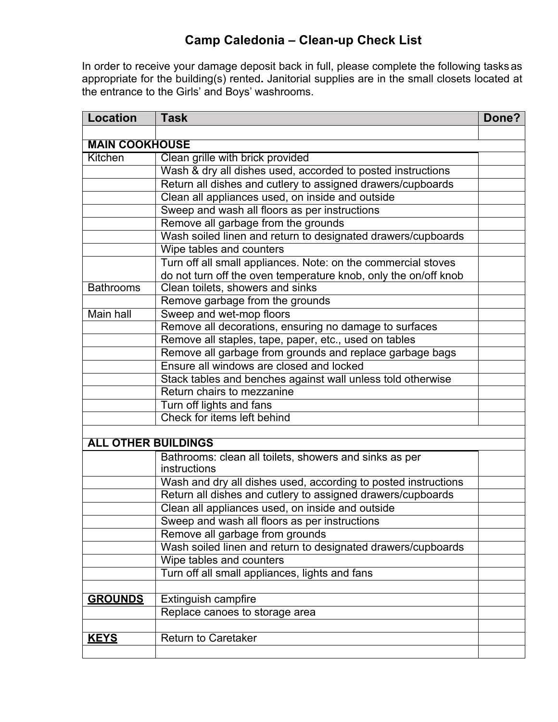## **Camp Caledonia – Clean-up Check List**

In order to receive your damage deposit back in full, please complete the following tasksas appropriate for the building(s) rented**.** Janitorial supplies are in the small closets located at the entrance to the Girls' and Boys' washrooms.

| <b>Location</b>            | <b>Task</b>                                                     | Done? |
|----------------------------|-----------------------------------------------------------------|-------|
|                            |                                                                 |       |
| <b>MAIN COOKHOUSE</b>      |                                                                 |       |
| Kitchen                    | Clean grille with brick provided                                |       |
|                            | Wash & dry all dishes used, accorded to posted instructions     |       |
|                            | Return all dishes and cutlery to assigned drawers/cupboards     |       |
|                            | Clean all appliances used, on inside and outside                |       |
|                            | Sweep and wash all floors as per instructions                   |       |
|                            | Remove all garbage from the grounds                             |       |
|                            | Wash soiled linen and return to designated drawers/cupboards    |       |
|                            | Wipe tables and counters                                        |       |
|                            | Turn off all small appliances. Note: on the commercial stoves   |       |
|                            | do not turn off the oven temperature knob, only the on/off knob |       |
| <b>Bathrooms</b>           | Clean toilets, showers and sinks                                |       |
|                            | Remove garbage from the grounds                                 |       |
| Main hall                  | Sweep and wet-mop floors                                        |       |
|                            | Remove all decorations, ensuring no damage to surfaces          |       |
|                            | Remove all staples, tape, paper, etc., used on tables           |       |
|                            | Remove all garbage from grounds and replace garbage bags        |       |
|                            | Ensure all windows are closed and locked                        |       |
|                            | Stack tables and benches against wall unless told otherwise     |       |
|                            | Return chairs to mezzanine                                      |       |
|                            | Turn off lights and fans                                        |       |
|                            | Check for items left behind                                     |       |
|                            |                                                                 |       |
| <b>ALL OTHER BUILDINGS</b> |                                                                 |       |
|                            | Bathrooms: clean all toilets, showers and sinks as per          |       |
|                            | instructions                                                    |       |
|                            | Wash and dry all dishes used, according to posted instructions  |       |
|                            | Return all dishes and cutlery to assigned drawers/cupboards     |       |
|                            | Clean all appliances used, on inside and outside                |       |
|                            | Sweep and wash all floors as per instructions                   |       |
|                            | Remove all garbage from grounds                                 |       |
|                            | Wash soiled linen and return to designated drawers/cupboards    |       |
|                            | Wipe tables and counters                                        |       |
|                            | Turn off all small appliances, lights and fans                  |       |
|                            |                                                                 |       |
| <b>GROUNDS</b>             | Extinguish campfire                                             |       |
|                            | Replace canoes to storage area                                  |       |
|                            |                                                                 |       |
| <b>KEYS</b>                | <b>Return to Caretaker</b>                                      |       |
|                            |                                                                 |       |